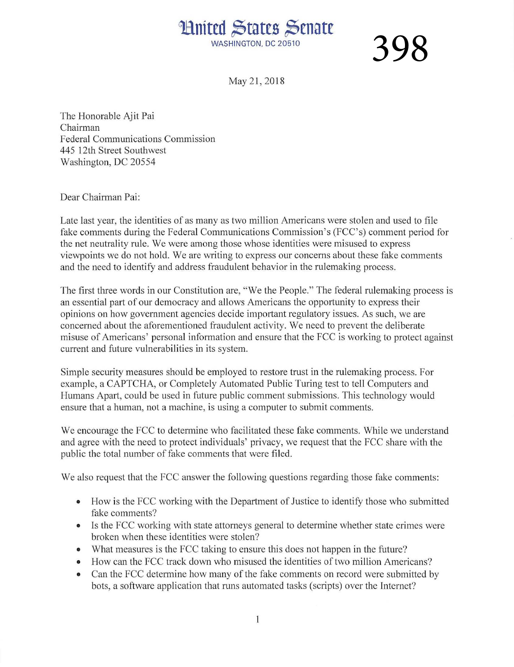## **Huited States Senate**

WASHINGTON, DC 20510

398

May 21, 2018

The Honorable Ajit Pai Chairman Federal Communications Commission 445 12th Street Southwest Washington, DC 20554

Dear Chairman Pai:

Late last year, the identities of as many as two million Americans were stolen and used to file fake comments during the Federal Communications Commission's (FCC's) comment period for the net neutrality rule. We were among those whose identities were misused to express viewpoints we do not hold. We are writing to express our concerns about these fake comments and the need to identify and address fraudulent behavior in the rulemaking process.

The first three words in our Constitution are, "We the People." The federal rulemaking process is an essential part of our democracy and allows Americans the opportunity to express their opinions on how government agencies decide important regulatory issues. As such, we are concerned about the aforementioned fraudulent activity. We need to prevent the deliberate misuse of Americans' personal information and ensure that the FCC is working to protect against current and future vulnerabilities in its system.

Simple security measures should be employed to restore trust in the rulemaking process. For example, a CAPTCHA, or Completely Automated Public Turing test to tell Computers and Humans Apart, could be used in future public comment submissions. This technology would ensure that a human, not a machine, is using a computer to submit comments.

We encourage the FCC to determine who facilitated these fake comments. While we understand and agree with the need to protect individuals' privacy, we request that the FCC share with the public the total number of fake comments that were filed.

We also request that the FCC answer the following questions regarding those fake comments:

- How is the FCC working with the Department of Justice to identify those who submitted fake comments?
- Is the FCC working with state attorneys general to determine whether state crimes were broken when these identities were stolen?
- What measures is the FCC taking to ensure this does not happen in the future?
- How can the FCC track down who misused the identities of two million Americans?
- Can the FCC determine how many of the fake comments on record were submitted by bots, a software application that runs automated tasks (scripts) over the Internet?